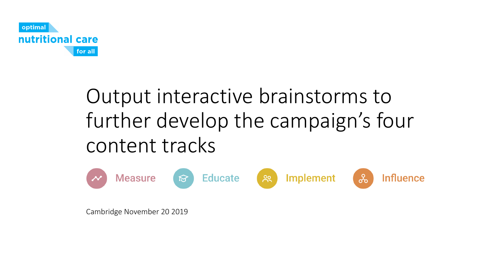

## Output interactive brainstorms to further develop the campaign's four content tracks



Cambridge November 20 2019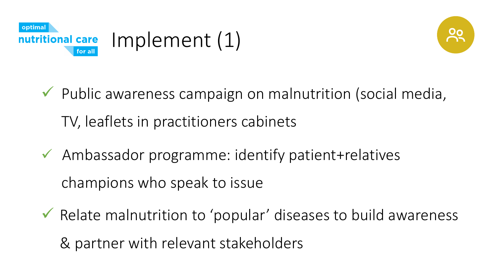



- $\checkmark$  Public awareness campaign on malnutrition (social media, TV, leaflets in practitioners cabinets
- $\checkmark$  Ambassador programme: identify patient+relatives champions who speak to issue
- $\checkmark$  Relate malnutrition to 'popular' diseases to build awareness & partner with relevant stakeholders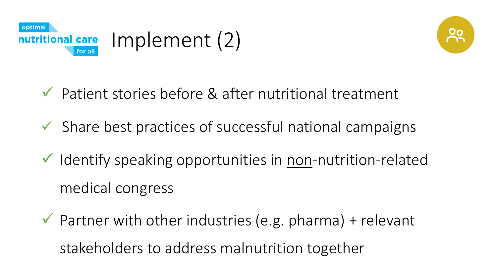



 $\checkmark$  Patient stories before & after nutritional treatment

- $\checkmark$  Share best practices of successful national campaigns
- $\checkmark$  Identify speaking opportunities in non-nutrition-related medical congress
- $\checkmark$  Partner with other industries (e.g. pharma) + relevant stakeholders to address malnutrition together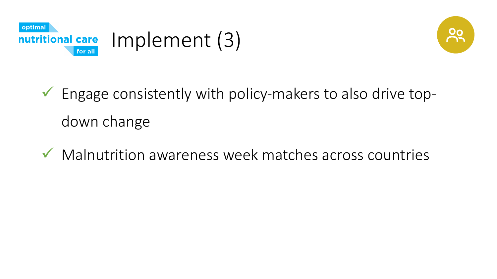



 $\checkmark$  Engage consistently with policy-makers to also drive topdown change

 $\sqrt{\phantom{a}}$  Malnutrition awareness week matches across countries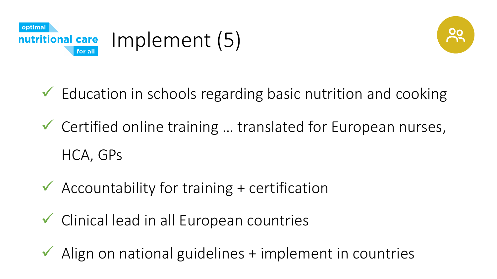



 $\checkmark$  Education in schools regarding basic nutrition and cooking

 $\checkmark$  Certified online training  $\ldots$  translated for European nurses, HCA, GPs

- $\checkmark$  Accountability for training + certification
- $\checkmark$  Clinical lead in all European countries

Align on national guidelines + implement in countries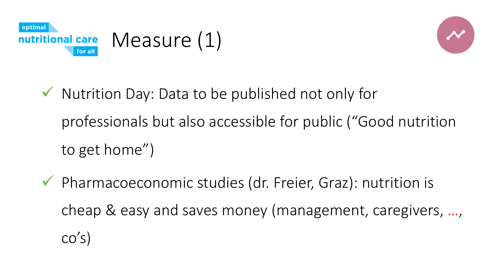



 $\checkmark$  Nutrition Day: Data to be published not only for professionals but also accessible for public ("Good nutrition to get home")

 $\checkmark$  Pharmacoeconomic studies (dr. Freier, Graz): nutrition is cheap & easy and saves money (management, caregivers, …,

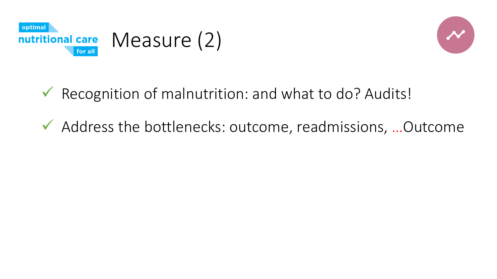



 $\checkmark$  Recognition of malnutrition: and what to do? Audits!

 $\checkmark$  Address the bottlenecks: outcome, readmissions, ... Outcome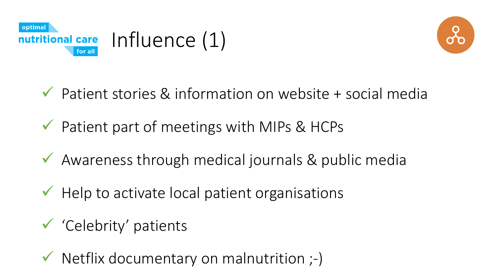



 $\checkmark$  Patient stories & information on website + social media

- $\checkmark$  Patient part of meetings with MIPs & HCPs
- $\checkmark$  Awareness through medical journals & public media
- $\checkmark$  Help to activate local patient organisations
- $\checkmark$  'Celebrity' patients
- $\checkmark$  Netflix documentary on malnutrition ;-)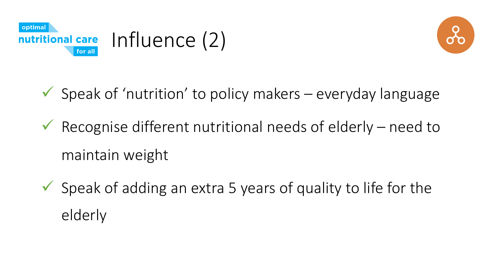



 $\checkmark$  Speak of 'nutrition' to policy makers – everyday language

 $\checkmark$  Recognise different nutritional needs of elderly – need to maintain weight

Speak of adding an extra 5 years of quality to life for the elderly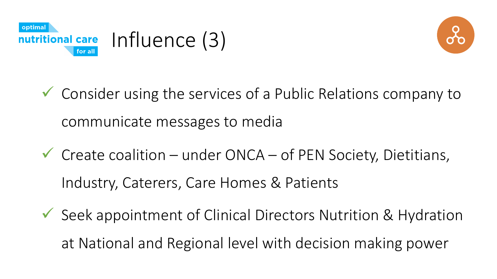



- $\checkmark$  Consider using the services of a Public Relations company to communicate messages to media
- $\checkmark$  Create coalition under ONCA of PEN Society, Dietitians, Industry, Caterers, Care Homes & Patients
- $\checkmark$  Seek appointment of Clinical Directors Nutrition & Hydration at National and Regional level with decision making power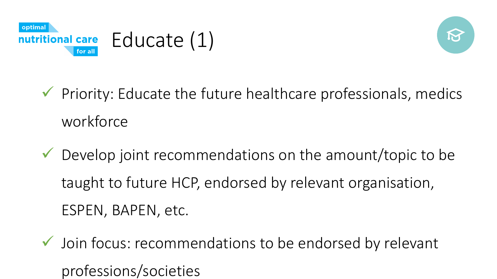



 $\checkmark$  Priority: Educate the future healthcare professionals, medics workforce

 $\checkmark$  Develop joint recommendations on the amount/topic to be taught to future HCP, endorsed by relevant organisation, ESPEN, BAPEN, etc.

 $\checkmark$  Join focus: recommendations to be endorsed by relevant professions/societies